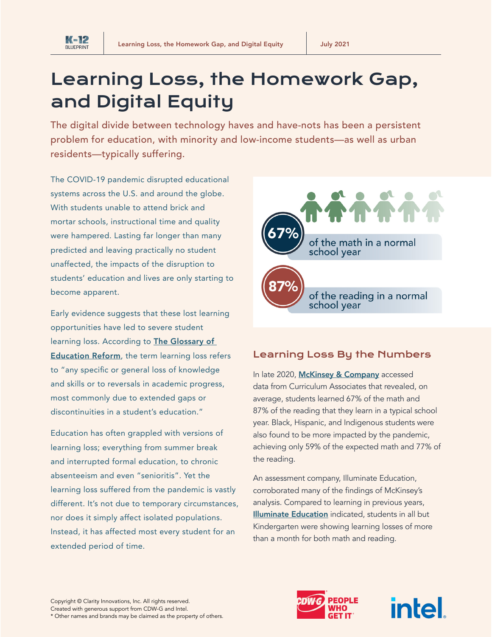

**K-12 BLUEPRINT** 

# Learning Loss, the Homework Gap, and Digital Equity

The digital divide between technology haves and have-nots has been a persistent problem for education, with minority and low-income students—as well as urban residents—typically suffering.

The COVID-19 pandemic disrupted educational systems across the U.S. and around the globe. With students unable to attend brick and mortar schools, instructional time and quality were hampered. Lasting far longer than many predicted and leaving practically no student unaffected, the impacts of the disruption to students' education and lives are only starting to become apparent.

Early evidence suggests that these lost learning opportunities have led to severe student learning loss. According to **The Glossary of [Education Reform](https://www.edglossary.org/learning-loss/)**, the term learning loss refers to "any specific or general loss of knowledge and skills or to reversals in academic progress, most commonly due to extended gaps or discontinuities in a student's education."

Education has often grappled with versions of learning loss; everything from summer break and interrupted formal education, to chronic absenteeism and even "senioritis". Yet the learning loss suffered from the pandemic is vastly different. It's not due to temporary circumstances, nor does it simply affect isolated populations. Instead, it has affected most every student for an extended period of time.



# Learning Loss By the Numbers

In late 2020, [McKinsey & Company](https://www.mckinsey.com/industries/public-and-social-sector/our-insights/covid-19-and-learning-loss-disparities-grow-and-students-need-help) accessed data from Curriculum Associates that revealed, on average, students learned 67% of the math and 87% of the reading that they learn in a typical school year. Black, Hispanic, and Indigenous students were also found to be more impacted by the pandemic, achieving only 59% of the expected math and 77% of the reading.

An assessment company, Illuminate Education, corroborated many of the findings of McKinsey's analysis. Compared to learning in previous years, [Illuminate Education](https://news.elearninginside.com/k-5-students-experienced-2-4-months-of-learning-loss-from-shutdowns-according-to-illuminate-education-study/) indicated, students in all but Kindergarten were showing learning losses of more than a month for both math and reading.



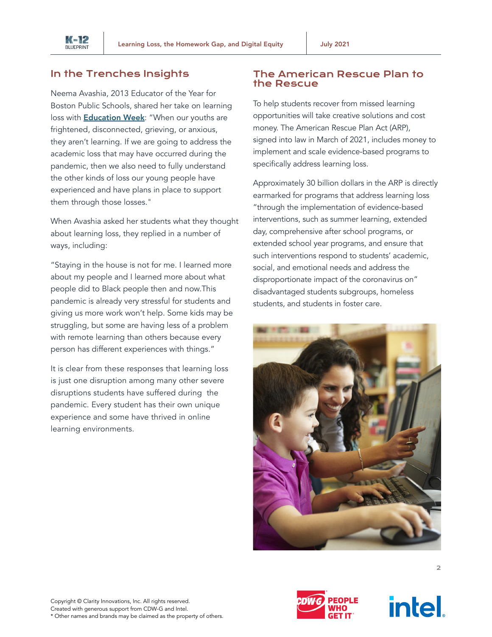

#### In the Trenches Insights

Neema Avashia, 2013 Educator of the Year for Boston Public Schools, shared her take on learning loss with **[Education Week](https://www.edweek.org/leadership/opinion-students-respond-to-adults-fixation-on-learning-loss/2021/02):** "When our youths are frightened, disconnected, grieving, or anxious, they aren't learning. If we are going to address the academic loss that may have occurred during the pandemic, then we also need to fully understand the other kinds of loss our young people have experienced and have plans in place to support them through those losses."

When Avashia asked her students what they thought about learning loss, they replied in a number of ways, including:

"Staying in the house is not for me. I learned more about my people and I learned more about what people did to Black people then and now.This pandemic is already very stressful for students and giving us more work won't help. Some kids may be struggling, but some are having less of a problem with remote learning than others because every person has different experiences with things."

It is clear from these responses that learning loss is just one disruption among many other severe disruptions students have suffered during the pandemic. Every student has their own unique experience and some have thrived in online learning environments.

#### The American Rescue Plan to the Rescue

To help students recover from missed learning opportunities will take creative solutions and cost money. The American Rescue Plan Act (ARP), signed into law in March of 2021, includes money to implement and scale evidence-based programs to specifically address learning loss.

Approximately 30 billion dollars in the ARP is directly earmarked for programs that address learning loss "through the implementation of evidence-based interventions, such as summer learning, extended day, comprehensive after school programs, or extended school year programs, and ensure that such interventions respond to students' academic, social, and emotional needs and address the disproportionate impact of the coronavirus on" disadvantaged students subgroups, homeless students, and students in foster care.





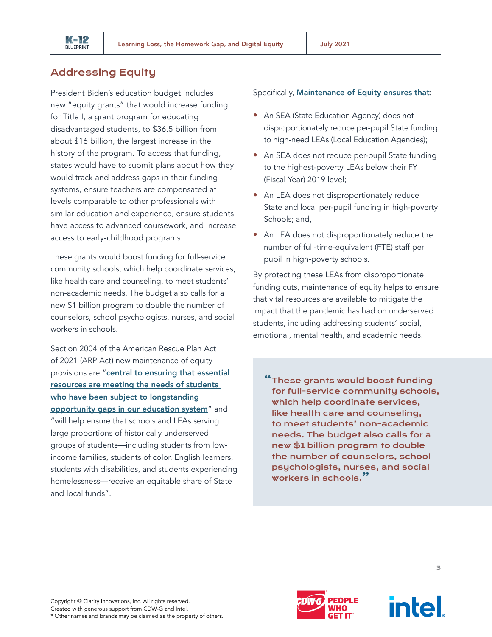

#### Addressing Equity

President Biden's education budget includes new "equity grants" that would increase funding for Title I, a grant program for educating disadvantaged students, to \$36.5 billion from about \$16 billion, the largest increase in the history of the program. To access that funding, states would have to submit plans about how they would track and address gaps in their funding systems, ensure teachers are compensated at levels comparable to other professionals with similar education and experience, ensure students have access to advanced coursework, and increase access to early-childhood programs.

These grants would boost funding for full-service community schools, which help coordinate services, like health care and counseling, to meet students' non-academic needs. The budget also calls for a new \$1 billion program to double the number of counselors, school psychologists, nurses, and social workers in schools.

Section 2004 of the American Rescue Plan Act of 2021 (ARP Act) new maintenance of equity provisions are "central to ensuring that essential [resources are meeting the needs of students](https://www.congress.gov/bill/117th-congress/house-bill/1319/text?utm_campaign=SIIA%20Education%20Policy%20Updates&utm_medium=email&_hsmi=132682760&_hsenc=p2ANqtz-9lfbyo4xTYOdNwsZP3UWkxn8CaVbNdDhVlvwSnJ2CYxlM3838NnFVyYzIfi6WfhosDpvV-E-4Jb6UsD3dHw-PDUjS12DmSahlTTFAXDQiZw2VtW-o&utm_content=132682760&utm_source=hs_email#toc-HAC039C3541884A6CBB0A1EE4627B3043)  who have been subject to longstanding [opportunity gaps in our education system](https://www.congress.gov/bill/117th-congress/house-bill/1319/text?utm_campaign=SIIA%20Education%20Policy%20Updates&utm_medium=email&_hsmi=132682760&_hsenc=p2ANqtz-9lfbyo4xTYOdNwsZP3UWkxn8CaVbNdDhVlvwSnJ2CYxlM3838NnFVyYzIfi6WfhosDpvV-E-4Jb6UsD3dHw-PDUjS12DmSahlTTFAXDQiZw2VtW-o&utm_content=132682760&utm_source=hs_email#toc-HAC039C3541884A6CBB0A1EE4627B3043)" and "will help ensure that schools and LEAs serving large proportions of historically underserved groups of students—including students from lowincome families, students of color, English learners, students with disabilities, and students experiencing homelessness—receive an equitable share of State and local funds".

#### Specifically, [Maintenance of Equity ensures that](https://oese.ed.gov/files/2021/06/21-0099-MOEq-FAQs.-FINAL.pdf?utm_campaign=SIIA%20Education%20Policy%20Updates&utm_medium=email&_hsmi=132682760&_hsenc=p2ANqtz--VWcHC-ITQOTnS38u-EX0jyj4KTrmYOiOj78MWIrjvXjc1Wpk0Q-x1q3zXtWw-rewgXR-iMnYWoy3x7WwOaZNSGw4bER9s-ucL9v2yQzzP_sarcr8&utm_content=132682760&utm_source=hs_email):

- An SEA (State Education Agency) does not disproportionately reduce per-pupil State funding to high-need LEAs (Local Education Agencies);
- An SEA does not reduce per-pupil State funding to the highest-poverty LEAs below their FY (Fiscal Year) 2019 level;
- An LEA does not disproportionately reduce State and local per-pupil funding in high-poverty Schools; and,
- An LEA does not disproportionately reduce the number of full-time-equivalent (FTE) staff per pupil in high-poverty schools.

By protecting these LEAs from disproportionate funding cuts, maintenance of equity helps to ensure that vital resources are available to mitigate the impact that the pandemic has had on underserved students, including addressing students' social, emotional, mental health, and academic needs.

"These grants would boost funding for full-service community schools, which help coordinate services, like health care and counseling, to meet students' non-academic needs. The budget also calls for a new \$1 billion program to double the number of counselors, school psychologists, nurses, and social workers in schools."



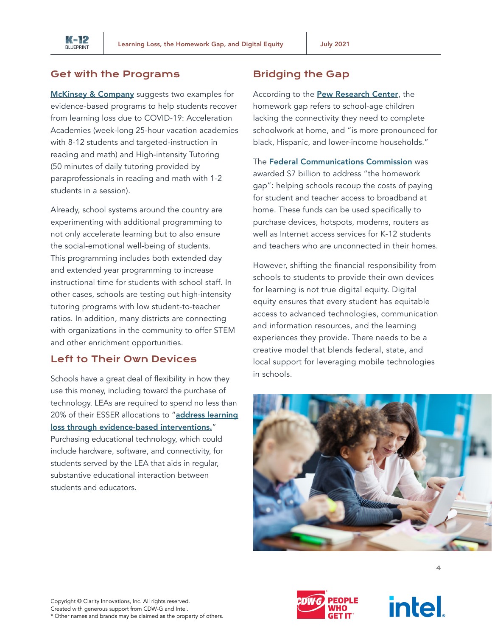

#### Get with the Programs

[McKinsey & Company](https://www.mckinsey.com/industries/public-and-social-sector/our-insights/teacher-survey-learning-loss-is-global-and-significant) suggests two examples for evidence-based programs to help students recover from learning loss due to COVID-19: Acceleration Academies (week-long 25-hour vacation academies with 8-12 students and targeted-instruction in reading and math) and High-intensity Tutoring (50 minutes of daily tutoring provided by paraprofessionals in reading and math with 1-2 students in a session).

Already, school systems around the country are experimenting with additional programming to not only accelerate learning but to also ensure the social-emotional well-being of students. This programming includes both extended day and extended year programming to increase instructional time for students with school staff. In other cases, schools are testing out high-intensity tutoring programs with low student-to-teacher ratios. In addition, many districts are connecting with organizations in the community to offer STEM and other enrichment opportunities.

#### Left to Their Own Devices

Schools have a great deal of flexibility in how they use this money, including toward the purchase of technology. LEAs are required to spend no less than 20% of their ESSER allocations to "address learning [loss through evidence-based interventions.](https://blog.schoolrunner.org/esser-funding-101-using-student-data-to-respond-to-learning-loss/)" Purchasing educational technology, which could include hardware, software, and connectivity, for students served by the LEA that aids in regular, substantive educational interaction between students and educators.

#### Bridging the Gap

According to the **[Pew Research Center](https://www.pewresearch.org/fact-tank/2020/03/16/as-schools-close-due-to-the-coronavirus-some-u-s-students-face-a-digital-homework-gap/)**, the homework gap refers to school-age children lacking the connectivity they need to complete schoolwork at home, and "is more pronounced for black, Hispanic, and lower-income households."

The [Federal Communications Commission](https://marketbrief.edweek.org/marketplace-k-12/fccs-7-billion-fund-address-homework-gap-6-key-issues-watch/) was awarded \$7 billion to address "the homework gap": helping schools recoup the costs of paying for student and teacher access to broadband at home. These funds can be used specifically to purchase devices, hotspots, modems, routers as well as Internet access services for K-12 students and teachers who are unconnected in their homes.

However, shifting the financial responsibility from schools to students to provide their own devices for learning is not true digital equity. Digital equity ensures that every student has equitable access to advanced technologies, communication and information resources, and the learning experiences they provide. There needs to be a creative model that blends federal, state, and local support for leveraging mobile technologies in schools.







4